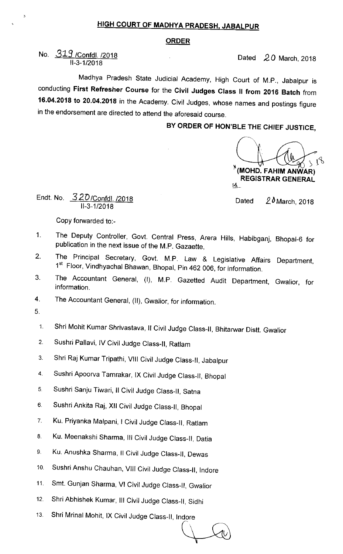## HIGH COURT OF MADHYA PRADESH, JABALPUR

## ORDER

No. 319 / Confdl. /2018 II-3-1/2018

Dated  $20$  March, 2018

Madhya Pradesh State Judicial Academy, High Court of M.P., Jabalpur is conducting First Refresher Course for the Civil Judges class 11 from 2016 Batch from 16.04.2018 to 20.04.2018 in the Academy. Civil Judges, whose names and postings figure in the endorsement are directed to attend the aforesaid course.

BY ORDER OF HON'BLE THE CHIEF JUSTICE,

(MOHD. FAHIM ANWAR) REGISTRAR GENERAL  $\mathcal{S}_\mathbf{A}^\mathbf{A}$ 

Endt. No. 320/Confdl. /2018 11-3-1/2018

Dated  $20$  March, 2018

Copy forwarded to:-

- 1. The Deputy Controller, Govt. Central Press, Arera Hills, Habibganj, Bhopal-6 for publication in the next issue of the M.P. Gazaette,
- 2. The Principal Secretary, Govt. M.P. Law & Legislative Affairs Department, 1<sup>st</sup> Floor, Vindhyachal Bhawan, Bhopal, Pin 462 006, for information.
- 3. The Accountant General, (I), M.P. Gazetted Audit Department, Gwalior, for information.
- 4. The Accountant General, (II), Gwalior, for information.
- 5.
	- 1. Shri Mohit Kumar Shrivastava, II Civil Judge Class-II, Bhitarwar Distt. Gwalior
	- 2. Sushri Pallavi, IV Civil Judge Class-II, Ratlam
	- 3. Shri Raj Kumar Tripathi, VIII Civil Judge Class-II, Jabalpur
	- 4 Sushri Apoorva Tamrakar, IX civil Judge class-ll, Bhopal
- 5. Sushri Sanju Tiwari, Il Civil Judge Class-II, Satna
- 6. Sushri Ankita Raj, XII Civil Judge Class-II, Bhopal
- 7. Ku. Priyanka Malpani, I Civil Judge Class-II, Ratlam
- 8 Ku. Meenakshi Sharma, III Civil Judge Class-II, Datia
- 9. Ku. Anushka Sharma, Il Civil Judge Class-II, Dewas
- 1o. Sushri Anshu chauhan, Vlll civil Judge class-lI, Indore
- 11. Smt. Gunjan sharma, VI civil Judge class-II, Gwalior
- 12. Shri Abhishek Kumar, III Civil Judge Class-II, Sidhi
- 13. Shri Mrinal Mohit, IX Civil Judge Class-II, Indore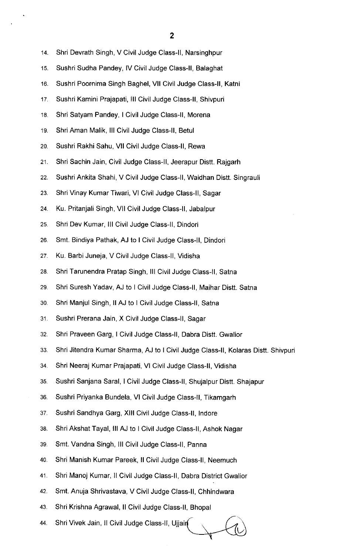- 2
- 14. Shri Devrath Singh, V Civil Judge Class-II, Narsinghpur
- 15. Sushri Sudha Pandey, IV Civil Judge Class-II, Balaghat
- 16. Sushri poornima singh Baghel, Vll civil Judge class-ll, Katni
- 17. Sushri Kamini Prajapati, III Civil Judge Class-II, Shivpuri
- 18. Shri Satyam Pandey, I Civil Judge Class-II, Morena
- 19. Shri Aman Malik, Ill Civil Judge Class-II, Betul
- 2o. Sushri Rakhi sahu, VII civil Judge class-ll, Rewa
- 21. Shri Sachin Jain, Civil Judge Class-II, Jeerapur Distt. Rajgarh
- 22. Sushri Ankita Shahi, V Civil Judge Class-II, Waidhan Distt. Singrauli
- 23. Shri Vinay Kumar Tiwari, VI Civil Judge Class-II, Sagar
- 24. Ku. Pritanjali singh, Vll civil Judge class-ll, Jabalpur
- 25. Shri Dev Kumar, Ill civil Judge class-ll, Dindori
- 26. Smt. Bindiya Pathak, AJ to I Civil Judge Class-II, Dindori
- 27. Ku. Barbi Juneja, V civil Judge class-ll, Vidisha
- 28. Shri Tarunendra Pratap Singh, III Civil Judge Class-II, Satna
- 29. Shri Suresh Yadav, AJ to I Civil Judge Class-II, Maihar Distt. Satna
- 30. Shri Manjul Singh, II AJ to I Civil Judge Class-II, Satna
- 31. Sushri Prerana Jain, X Civil Judge Class-II, Sagar
- 32. Shri Praveen Garg, I Civil Judge Class-II, Dabra Distt. Gwalior
- 33. Shri Jitendra Kumar Sharma, AJ to I Civil Judge Class-Il, Kolaras Distt. Shivpuri
- 34. Shri Neeraj Kumar Prajapati, VI Civil Judge Class-II, Vidisha
- 35. Sushri sanjana saral, I civil Judge class-ll, Shujalpur Distt. Shajapur
- 36. Sushri priyanka Bundela, VI civil Judge class-ll, Tikamgarh
- 37. Sushri Sandhya Garg, XIII Civil Judge Class-II, Indore
- 38. Shri Akshat Tayal, III AJ to I Civil Judge Class-II, Ashok Nagar
- 39. Smt. Vandna Singh, III Civil Judge Class-II, Panna
- 40. Shri Manish Kumar Pareek, Il Civil Judge Class-II, Neemuch
- 41 Shri Manoj Kumar, ll civil Judge class-ll, Dabra District Gwalior
- 42. Smt. Anuja shrivastava, V civil Judge class-ll, Chhindwara
- 43. Shri Krishna Agrawal, II civil Judge class-ll, Bhopal
- 44. Shri Vivek Jain, Il Civil Judge Class-ll, Ujjain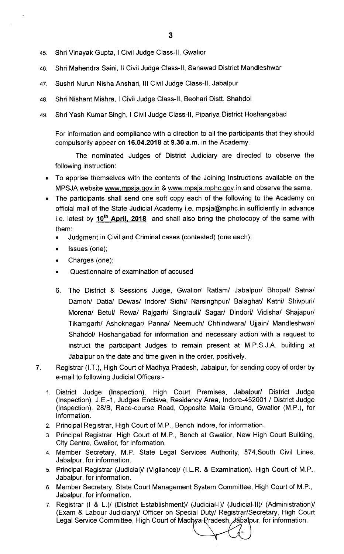- 45. Shri vinayak Gupta, I civil Judge class-ll, Gwalior
- 46 Shri Mahendra saini, ll civil Judge class-ll, Sanawad District Mandleshwar
- 47. Sushri Nurun Nisha Anshari, III Civil Judge Class-II, Jabalpur
- 48 Shri Nishant Mishra, I civil Judge class-ll, Beohari Distt. Shahdol
- 49. Shri Yash Kumar Singh, I Civil Judge Class-II, Pipariya District Hoshangabad

For information and compliance with a direction to all the participants that they should compulsorily appear on 16.04.2018 at 9.30 a.m. in the Academy.

The nominated Judges of District Judiciary are directed to observe the following instruction:

- To apprise themselves with the contents of the Joining Instructions available on the MPSJA website www.mpsia.gov.in & www.mpsia.mphc.gov.in and observe the same.
- The participants shall send one soft copy each of the following to the Academy on official mail of the State Judicial Academy i.e. mpsja@mphc.in sufficiently in advance i.e. latest by  $10^{th}$  April, 2018 and shall also bring the photocopy of the same with them:
	- Judgment in civil and criminal cases (contested) (one each);
	- Issues (one);
	- Charges (one);
	- Questionnaire of examination of accused
	- 6. The District & Sessions Judge, Gwalior/ Ratlam/ Jabalpur/ Bhopal/ Satna/ Damoh/ Datia/ Dewas/ lndore/ Sidhi/ Narsinghpur/ Balaghat/ Katni/ Shivpuri/ Morena/ Betul/ Rewa/ Rajgarh/ Singrauli/ Sagar/ Dindori/ Vidisha/ Shajapur/ Tikamgarh/ Ashoknagar/ Panna/ Neemuch/ Chhindwara/ Ujjain/ Mandleshwar/ Shahdol/ Hoshangabad for information and necessary action with a request to instruct the participant Judges to remain present at M.P.S.J.A. building at Jabalpur on the date and time given in the order, positively.
- Registrar (I.T.), High Court of Madhya Pradesh, Jabalpur, for sending copy of order by  $\overline{7}$ . e-mail to following Judicial Officers:-
	- 1. District Judge (Inspection), High Court Premises, Jabalpur/ District Judge (Inspection), J.E.-1, Judges Enclave, Residency Area, lndore-452001./ District Judge (Inspection), 28/8, Race-course Road, Opposite Maila Ground, Gwalior (M.P.), for information.
	- 2. Principal Registrar, High Court of M.P., Bench lndore, for information.
	- 3 Principal Registrar, High Court of M.P., Bench at Gwalior, New High Court Building, City Centre, Gwalior, for information.
	- 4. Member Secretary, M.P. State Legal Services Authority, 574,South Civil Lines, Jabalpur, for information.
	- 5. Principal Registrar (Judicial)/ (Vigilance)/ (I.L.R. & Examination), High Court of M.P., Jabalpur, for information.
	- 6. Member Secretary, State Court Management System Committee, High Court of M.P., Jabalpur, for information.
	- 7. Registrar (I & L.)/ (District Establishment)/ (Judicial-I)/ (Judicial-lI)/ (Administration)/ (Exam & Labour Judiciary)/ Officer on Special Duty/ Reg istrar/Secretary, High Court Legal Service Committee, High Court of Madhya Pradesh, Jabalpur, for information